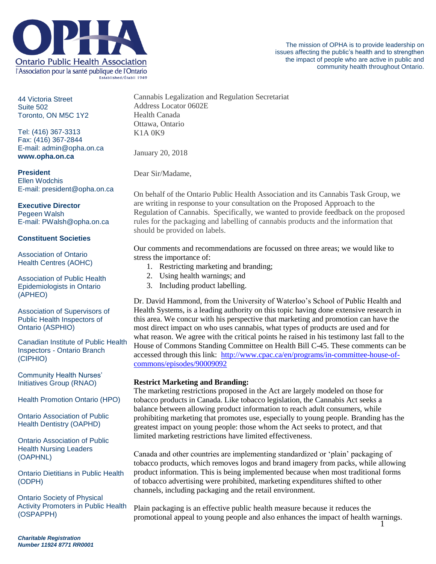

44 Victoria Street Suite 502 Toronto, ON M5C 1Y2

Tel: (416) 367-3313 Fax: (416) 367-2844 E-mail: admin@opha.on.ca **www.opha.on.ca**

**President** Ellen Wodchis E-mail: president@opha.on.ca

## **Executive Director**

Pegeen Walsh E-mail: PWalsh@opha.on.ca

## **Constituent Societies**

Association of Ontario Health Centres (AOHC)

Association of Public Health Epidemiologists in Ontario (APHEO)

Association of Supervisors of Public Health Inspectors of Ontario (ASPHIO)

Canadian Institute of Public Health Inspectors - Ontario Branch (CIPHIO)

Community Health Nurses' Initiatives Group (RNAO)

Health Promotion Ontario (HPO)

Ontario Association of Public Health Dentistry (OAPHD)

Ontario Association of Public Health Nursing Leaders (OAPHNL)

Ontario Dietitians in Public Health (ODPH)

Ontario Society of Physical Activity Promoters in Public Health (OSPAPPH)

Cannabis Legalization and Regulation Secretariat Address Locator 0602E Health Canada Ottawa, Ontario K1A 0K9

January 20, 2018

Dear Sir/Madame,

On behalf of the Ontario Public Health Association and its Cannabis Task Group, we are writing in response to your consultation on the Proposed Approach to the Regulation of Cannabis. Specifically, we wanted to provide feedback on the proposed rules for the packaging and labelling of cannabis products and the information that should be provided on labels.

Our comments and recommendations are focussed on three areas; we would like to stress the importance of:

- 1. Restricting marketing and branding;
- 2. Using health warnings; and
- 3. Including product labelling.

Dr. David Hammond, from the University of Waterloo's School of Public Health and Health Systems, is a leading authority on this topic having done extensive research in this area. We concur with his perspective that marketing and promotion can have the most direct impact on who uses cannabis, what types of products are used and for what reason. We agree with the critical points he raised in his testimony last fall to the House of Commons Standing Committee on Health Bill C-45. These comments can be accessed through this link: [http://www.cpac.ca/en/programs/in-committee-house-of](http://www.cpac.ca/en/programs/in-committee-house-of-commons/episodes/90009092)[commons/episodes/90009092](http://www.cpac.ca/en/programs/in-committee-house-of-commons/episodes/90009092)

# **Restrict Marketing and Branding:**

The marketing restrictions proposed in the Act are largely modeled on those for tobacco products in Canada. Like tobacco legislation, the Cannabis Act seeks a balance between allowing product information to reach adult consumers, while prohibiting marketing that promotes use, especially to young people. Branding has the greatest impact on young people: those whom the Act seeks to protect, and that limited marketing restrictions have limited effectiveness.

Canada and other countries are implementing standardized or 'plain' packaging of tobacco products, which removes logos and brand imagery from packs, while allowing product information. This is being implemented because when most traditional forms of tobacco advertising were prohibited, marketing expenditures shifted to other channels, including packaging and the retail environment.

1 Plain packaging is an effective public health measure because it reduces the promotional appeal to young people and also enhances the impact of health warnings.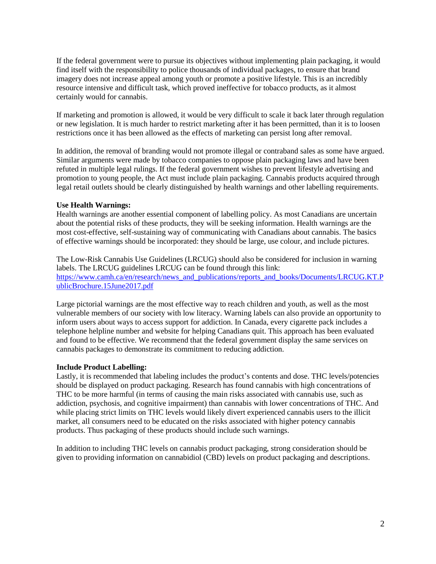If the federal government were to pursue its objectives without implementing plain packaging, it would find itself with the responsibility to police thousands of individual packages, to ensure that brand imagery does not increase appeal among youth or promote a positive lifestyle. This is an incredibly resource intensive and difficult task, which proved ineffective for tobacco products, as it almost certainly would for cannabis.

If marketing and promotion is allowed, it would be very difficult to scale it back later through regulation or new legislation. It is much harder to restrict marketing after it has been permitted, than it is to loosen restrictions once it has been allowed as the effects of marketing can persist long after removal.

In addition, the removal of branding would not promote illegal or contraband sales as some have argued. Similar arguments were made by tobacco companies to oppose plain packaging laws and have been refuted in multiple legal rulings. If the federal government wishes to prevent lifestyle advertising and promotion to young people, the Act must include plain packaging. Cannabis products acquired through legal retail outlets should be clearly distinguished by health warnings and other labelling requirements.

## **Use Health Warnings:**

Health warnings are another essential component of labelling policy. As most Canadians are uncertain about the potential risks of these products, they will be seeking information. Health warnings are the most cost-effective, self-sustaining way of communicating with Canadians about cannabis. The basics of effective warnings should be incorporated: they should be large, use colour, and include pictures.

The Low-Risk Cannabis Use Guidelines (LRCUG) should also be considered for inclusion in warning labels. The LRCUG guidelines LRCUG can be found through this link: [https://www.camh.ca/en/research/news\\_and\\_publications/reports\\_and\\_books/Documents/LRCUG.KT.P](https://www.camh.ca/en/research/news_and_publications/reports_and_books/Documents/LRCUG.KT.PublicBrochure.15June2017.pdf) [ublicBrochure.15June2017.pdf](https://www.camh.ca/en/research/news_and_publications/reports_and_books/Documents/LRCUG.KT.PublicBrochure.15June2017.pdf)

Large pictorial warnings are the most effective way to reach children and youth, as well as the most vulnerable members of our society with low literacy. Warning labels can also provide an opportunity to inform users about ways to access support for addiction. In Canada, every cigarette pack includes a telephone helpline number and website for helping Canadians quit. This approach has been evaluated and found to be effective. We recommend that the federal government display the same services on cannabis packages to demonstrate its commitment to reducing addiction.

## **Include Product Labelling:**

Lastly, it is recommended that labeling includes the product's contents and dose. THC levels/potencies should be displayed on product packaging. Research has found cannabis with high concentrations of THC to be more harmful (in terms of causing the main risks associated with cannabis use, such as addiction, psychosis, and cognitive impairment) than cannabis with lower concentrations of THC. And while placing strict limits on THC levels would likely divert experienced cannabis users to the illicit market, all consumers need to be educated on the risks associated with higher potency cannabis products. Thus packaging of these products should include such warnings.

In addition to including THC levels on cannabis product packaging, strong consideration should be given to providing information on cannabidiol (CBD) levels on product packaging and descriptions.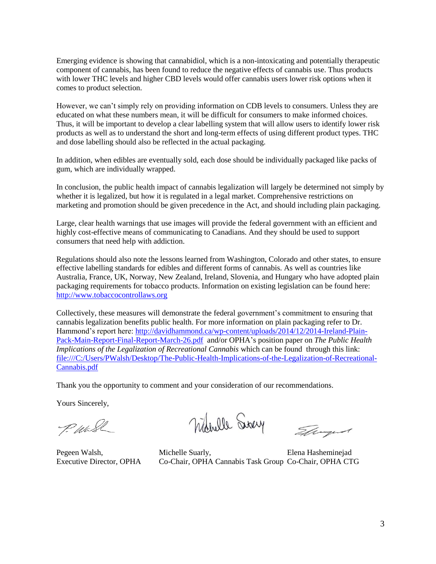Emerging evidence is showing that cannabidiol, which is a non-intoxicating and potentially therapeutic component of cannabis, has been found to reduce the negative effects of cannabis use. Thus products with lower THC levels and higher CBD levels would offer cannabis users lower risk options when it comes to product selection.

However, we can't simply rely on providing information on CDB levels to consumers. Unless they are educated on what these numbers mean, it will be difficult for consumers to make informed choices. Thus, it will be important to develop a clear labelling system that will allow users to identify lower risk products as well as to understand the short and long-term effects of using different product types. THC and dose labelling should also be reflected in the actual packaging.

In addition, when edibles are eventually sold, each dose should be individually packaged like packs of gum, which are individually wrapped.

In conclusion, the public health impact of cannabis legalization will largely be determined not simply by whether it is legalized, but how it is regulated in a legal market. Comprehensive restrictions on marketing and promotion should be given precedence in the Act, and should including plain packaging.

Large, clear health warnings that use images will provide the federal government with an efficient and highly cost-effective means of communicating to Canadians. And they should be used to support consumers that need help with addiction.

Regulations should also note the lessons learned from Washington, Colorado and other states, to ensure effective labelling standards for edibles and different forms of cannabis. As well as countries like Australia, France, UK, Norway, New Zealand, Ireland, Slovenia, and Hungary who have adopted plain packaging requirements for tobacco products. Information on existing legislation can be found here: [http://www.tobaccocontrollaws.org](http://www.tobaccocontrollaws.org/)

Collectively, these measures will demonstrate the federal government's commitment to ensuring that cannabis legalization benefits public health. For more information on plain packaging refer to Dr. Hammond's report here: [http://davidhammond.ca/wp-content/uploads/2014/12/2014-Ireland-Plain-](http://davidhammond.ca/wp-content/uploads/2014/12/2014-Ireland-Plain-Pack-Main-Report-Final-Report-March-26.pdf)[Pack-Main-Report-Final-Report-March-26.pdf](http://davidhammond.ca/wp-content/uploads/2014/12/2014-Ireland-Plain-Pack-Main-Report-Final-Report-March-26.pdf) and/or OPHA's position paper on *The Public Health Implications of the Legalization of Recreational Cannabis* which can be found through this link: [file:///C:/Users/PWalsh/Desktop/The-Public-Health-Implications-of-the-Legalization-of-Recreational-](file:///C:/Users/PWalsh/Desktop/The-Public-Health-Implications-of-the-Legalization-of-Recreational-Cannabis.pdf)[Cannabis.pdf](file:///C:/Users/PWalsh/Desktop/The-Public-Health-Implications-of-the-Legalization-of-Recreational-Cannabis.pdf)

Thank you the opportunity to comment and your consideration of our recommendations.

Yours Sincerely,

P. Wash

Wherell Surey

Elingud

Pegeen Walsh, Michelle Suarly, Elena Hasheminejad Executive Director, OPHA Co-Chair, OPHA Cannabis Task Group Co-Chair, OPHA CTG